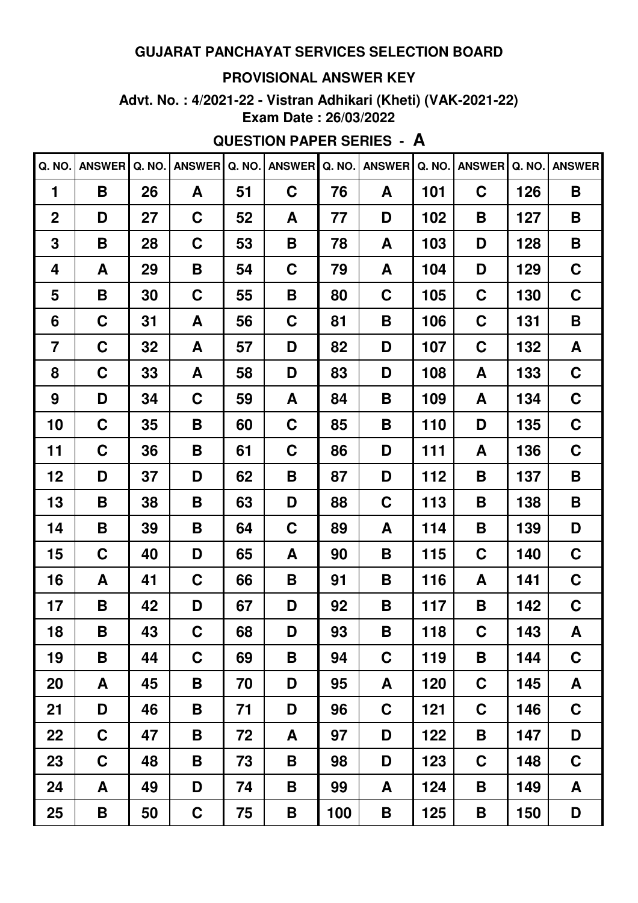#### **PROVISIONAL ANSWER KEY**

**Advt. No. : 4/2021-22 - Vistran Adhikari (Kheti) (VAK-2021-22) Exam Date : 26/03/2022**

# **QUESTION PAPER SERIES - A**

|                | Q. NO.   ANSWER | Q. NO. | <b>ANSWER</b> | Q. NO. | <b>ANSWER</b> | Q. NO. | <b>ANSWER</b> | Q. NO. | <b>ANSWER</b> | Q. NO. | <b>ANSWER</b> |
|----------------|-----------------|--------|---------------|--------|---------------|--------|---------------|--------|---------------|--------|---------------|
| 1              | B               | 26     | A             | 51     | $\mathbf C$   | 76     | A             | 101    | $\mathbf C$   | 126    | B             |
| $\overline{2}$ | D               | 27     | $\mathbf C$   | 52     | A             | 77     | D             | 102    | B             | 127    | B             |
| 3              | B               | 28     | $\mathbf C$   | 53     | B             | 78     | A             | 103    | D             | 128    | B             |
| 4              | A               | 29     | B             | 54     | $\mathbf C$   | 79     | A             | 104    | D             | 129    | $\mathbf C$   |
| 5              | B               | 30     | $\mathbf C$   | 55     | B             | 80     | C             | 105    | $\mathbf C$   | 130    | $\mathbf C$   |
| 6              | $\mathbf C$     | 31     | A             | 56     | $\mathbf C$   | 81     | B             | 106    | $\mathbf C$   | 131    | B             |
| $\overline{7}$ | $\mathbf C$     | 32     | A             | 57     | D             | 82     | D             | 107    | $\mathbf C$   | 132    | A             |
| 8              | $\mathbf C$     | 33     | A             | 58     | D             | 83     | D             | 108    | A             | 133    | $\mathbf C$   |
| 9              | D               | 34     | $\mathbf C$   | 59     | A             | 84     | B             | 109    | A             | 134    | $\mathbf C$   |
| 10             | $\mathbf C$     | 35     | B             | 60     | $\mathbf C$   | 85     | Β             | 110    | D             | 135    | $\mathbf C$   |
| 11             | $\mathbf C$     | 36     | Β             | 61     | $\mathbf C$   | 86     | D             | 111    | A             | 136    | $\mathbf C$   |
| 12             | D               | 37     | D             | 62     | B             | 87     | D             | 112    | B             | 137    | B             |
| 13             | B               | 38     | B             | 63     | D             | 88     | $\mathbf C$   | 113    | B             | 138    | B             |
| 14             | B               | 39     | Β             | 64     | $\mathbf C$   | 89     | A             | 114    | B             | 139    | D             |
| 15             | $\mathbf C$     | 40     | D             | 65     | A             | 90     | B             | 115    | $\mathbf C$   | 140    | C             |
| 16             | A               | 41     | $\mathbf C$   | 66     | B             | 91     | Β             | 116    | A             | 141    | $\mathbf C$   |
| 17             | B               | 42     | D             | 67     | D             | 92     | Β             | 117    | B             | 142    | $\mathbf C$   |
| 18             | B               | 43     | $\mathbf C$   | 68     | D             | 93     | $\mathsf B$   | 118    | $\mathbf C$   | 143    | A             |
| 19             | B               | 44     | $\mathbf C$   | 69     | B             | 94     | $\mathbf C$   | 119    | B             | 144    | $\mathbf C$   |
| 20             | A               | 45     | B             | 70     | D             | 95     | A             | 120    | $\mathbf C$   | 145    | A             |
| 21             | D               | 46     | B             | 71     | D             | 96     | $\mathbf C$   | 121    | $\mathbf C$   | 146    | $\mathbf C$   |
| 22             | $\mathbf C$     | 47     | B             | 72     | A             | 97     | D             | 122    | B             | 147    | D             |
| 23             | $\mathbf C$     | 48     | B             | 73     | B             | 98     | D             | 123    | C             | 148    | $\mathbf C$   |
| 24             | A               | 49     | D             | 74     | B             | 99     | A             | 124    | B             | 149    | A             |
| 25             | B               | 50     | $\mathbf C$   | 75     | B             | 100    | Β             | 125    | B             | 150    | D             |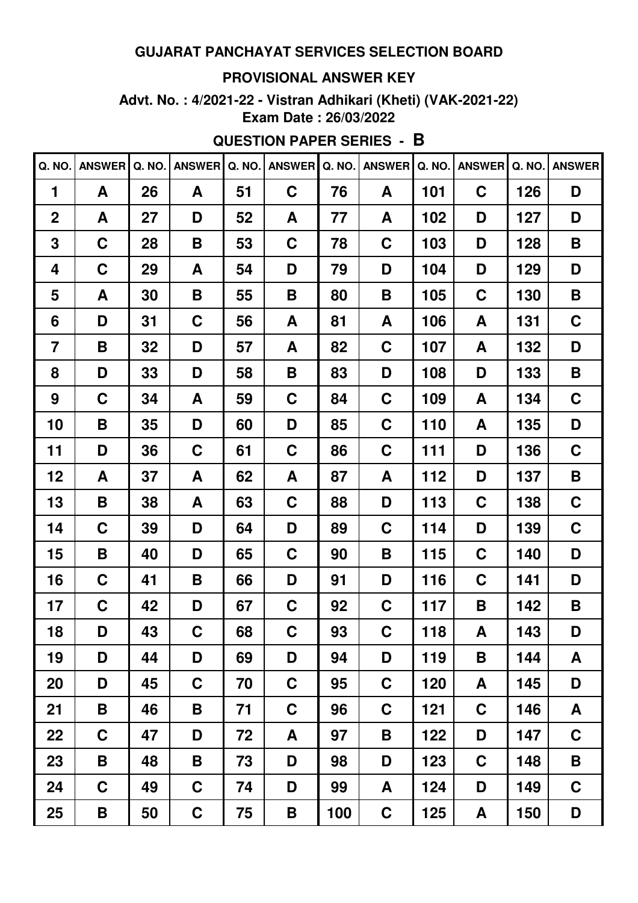#### **PROVISIONAL ANSWER KEY**

**Advt. No. : 4/2021-22 - Vistran Adhikari (Kheti) (VAK-2021-22) Exam Date : 26/03/2022**

# **QUESTION PAPER SERIES - B**

| Q. NO.         | <b>ANSWER</b> | Q. NO. | <b>ANSWER</b> | Q. NO. | <b>ANSWER</b> | Q. NO. | <b>ANSWER</b> | Q. NO. | <b>ANSWER</b> | Q. NO. | <b>ANSWER</b> |
|----------------|---------------|--------|---------------|--------|---------------|--------|---------------|--------|---------------|--------|---------------|
| 1              | A             | 26     | A             | 51     | $\mathbf C$   | 76     | A             | 101    | $\mathbf C$   | 126    | D             |
| $\overline{2}$ | A             | 27     | D             | 52     | A             | 77     | A             | 102    | D             | 127    | D             |
| 3              | $\mathbf C$   | 28     | B             | 53     | $\mathbf C$   | 78     | C             | 103    | D             | 128    | Β             |
| 4              | $\mathbf C$   | 29     | A             | 54     | D             | 79     | D             | 104    | D             | 129    | D             |
| 5              | A             | 30     | B             | 55     | Β             | 80     | B             | 105    | C             | 130    | Β             |
| 6              | D             | 31     | C             | 56     | A             | 81     | A             | 106    | A             | 131    | C             |
| $\overline{7}$ | B             | 32     | D             | 57     | A             | 82     | C             | 107    | A             | 132    | D             |
| 8              | D             | 33     | D             | 58     | Β             | 83     | D             | 108    | D             | 133    | B             |
| 9              | C             | 34     | A             | 59     | C             | 84     | C             | 109    | A             | 134    | $\mathbf C$   |
| 10             | B             | 35     | D             | 60     | D             | 85     | C             | 110    | A             | 135    | D             |
| 11             | D             | 36     | $\mathbf C$   | 61     | C             | 86     | C             | 111    | D             | 136    | C             |
| 12             | A             | 37     | A             | 62     | A             | 87     | A             | 112    | D             | 137    | Β             |
| 13             | B             | 38     | A             | 63     | C             | 88     | D             | 113    | C             | 138    | C             |
| 14             | C             | 39     | D             | 64     | D             | 89     | C             | 114    | D             | 139    | C             |
| 15             | B             | 40     | D             | 65     | C             | 90     | Β             | 115    | C             | 140    | D             |
| 16             | C             | 41     | B             | 66     | D             | 91     | D             | 116    | C             | 141    | D             |
| 17             | C             | 42     | D             | 67     | C             | 92     | C             | 117    | B             | 142    | Β             |
| 18             | D             | 43     | C             | 68     | C             | 93     | $\mathbf C$   | 118    | A             | 143    | D             |
| 19             | D             | 44     | D             | 69     | D             | 94     | D             | 119    | B             | 144    | A             |
| 20             | D             | 45     | $\mathbf C$   | 70     | $\mathbf C$   | 95     | C             | 120    | A             | 145    | D             |
| 21             | B             | 46     | B             | 71     | C             | 96     | C             | 121    | $\mathbf C$   | 146    | A             |
| 22             | $\mathbf C$   | 47     | D             | 72     | A             | 97     | B             | 122    | D             | 147    | $\mathbf C$   |
| 23             | B             | 48     | B             | 73     | D             | 98     | D             | 123    | $\mathbf C$   | 148    | B             |
| 24             | $\mathbf C$   | 49     | $\mathbf C$   | 74     | D             | 99     | A             | 124    | D             | 149    | $\mathbf C$   |
| 25             | B             | 50     | $\mathbf C$   | 75     | Β             | 100    | $\mathbf C$   | 125    | A             | 150    | D             |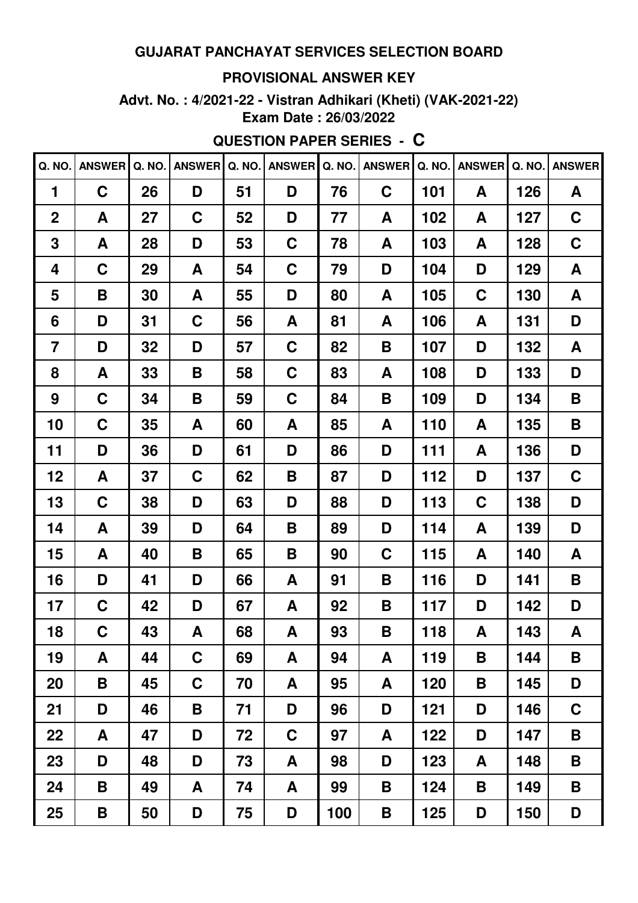#### **PROVISIONAL ANSWER KEY**

Advt. No.: 4/2021-22 - Vistran Adhikari (Kheti) (VAK-2021-22) Exam Date: 26/03/2022

**QUESTION PAPER SERIES - C** 

|                  | Q. NO. ANSWER | Q. NO. | <b>ANSWER</b>    | Q. NO. | <b>ANSWER</b> | Q. NO. | <b>ANSWER</b> | Q. NO. | <b>ANSWER</b> | Q. NO. | <b>ANSWER</b> |
|------------------|---------------|--------|------------------|--------|---------------|--------|---------------|--------|---------------|--------|---------------|
| 1                | $\mathbf C$   | 26     | D                | 51     | D             | 76     | $\mathbf C$   | 101    | A             | 126    | A             |
| $\boldsymbol{2}$ | A             | 27     | $\mathbf C$      | 52     | D             | 77     | A             | 102    | A             | 127    | $\mathbf C$   |
| 3                | A             | 28     | D                | 53     | $\mathbf C$   | 78     | A             | 103    | A             | 128    | $\mathbf C$   |
| 4                | $\mathbf C$   | 29     | A                | 54     | $\mathbf C$   | 79     | D             | 104    | D             | 129    | A             |
| 5                | B             | 30     | A                | 55     | D             | 80     | A             | 105    | C             | 130    | A             |
| 6                | D             | 31     | $\mathbf C$      | 56     | A             | 81     | A             | 106    | A             | 131    | D             |
| $\overline{7}$   | D             | 32     | D                | 57     | $\mathbf C$   | 82     | B             | 107    | D             | 132    | A             |
| 8                | A             | 33     | B                | 58     | $\mathbf C$   | 83     | A             | 108    | D             | 133    | D             |
| 9                | $\mathbf C$   | 34     | B                | 59     | $\mathbf C$   | 84     | Β             | 109    | D             | 134    | B             |
| 10               | C             | 35     | A                | 60     | A             | 85     | A             | 110    | A             | 135    | B             |
| 11               | D             | 36     | D                | 61     | D             | 86     | D             | 111    | A             | 136    | D             |
| 12               | A             | 37     | $\mathbf C$      | 62     | Β             | 87     | D             | 112    | D             | 137    | $\mathbf C$   |
| 13               | C             | 38     | D                | 63     | D             | 88     | D             | 113    | $\mathbf C$   | 138    | D             |
| 14               | A             | 39     | D                | 64     | Β             | 89     | D             | 114    | A             | 139    | D             |
| 15               | A             | 40     | B                | 65     | Β             | 90     | C             | 115    | A             | 140    | A             |
| 16               | D             | 41     | D                | 66     | A             | 91     | Β             | 116    | D             | 141    | B             |
| 17               | C             | 42     | D                | 67     | A             | 92     | Β             | 117    | D             | 142    | D             |
| 18               | $\mathbf C$   | 43     | $\boldsymbol{A}$ | 68     | A             | 93     | B             | 118    | A             | 143    | A             |
| 19               | A             | 44     | $\mathbf C$      | 69     | A             | 94     | A             | 119    | B             | 144    | B             |
| 20               | B             | 45     | $\mathbf C$      | 70     | A             | 95     | A             | 120    | B             | 145    | D             |
| 21               | D             | 46     | B                | 71     | D             | 96     | D             | 121    | D             | 146    | $\mathbf C$   |
| 22               | A             | 47     | D                | 72     | $\mathbf C$   | 97     | A             | 122    | D             | 147    | B             |
| 23               | D             | 48     | D                | 73     | A             | 98     | D             | 123    | A             | 148    | B             |
| 24               | B             | 49     | A                | 74     | A             | 99     | B             | 124    | B             | 149    | B             |
| 25               | B             | 50     | D                | 75     | D             | 100    | Β             | 125    | D             | 150    | D             |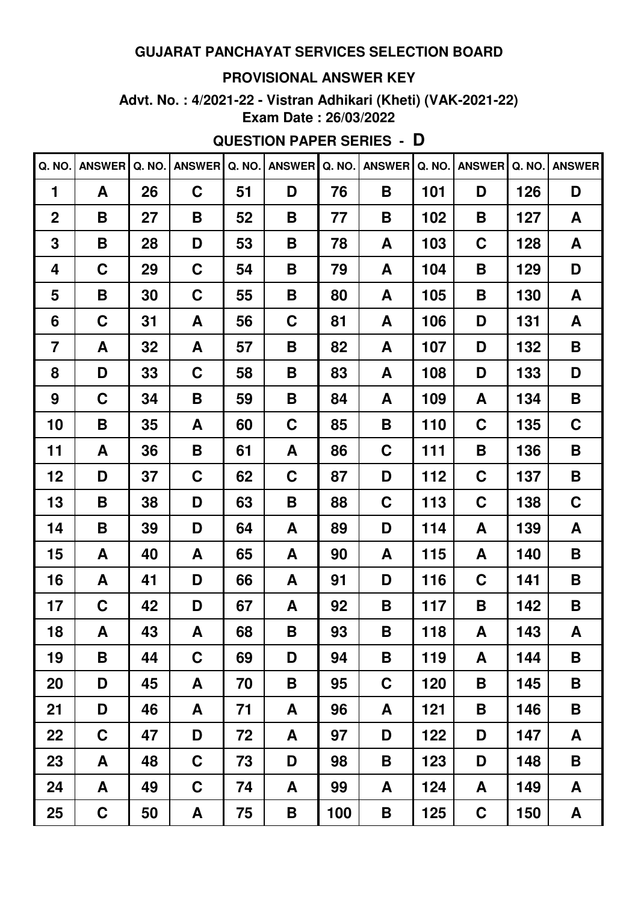#### **PROVISIONAL ANSWER KEY**

**Advt. No. : 4/2021-22 - Vistran Adhikari (Kheti) (VAK-2021-22) Exam Date : 26/03/2022**

## **QUESTION PAPER SERIES - D**

| Q. NO.         | <b>ANSWER</b> | Q. NO. | <b>ANSWER</b> | Q. NO. | <b>ANSWER</b> | Q. NO. | <b>ANSWER</b> | Q. NO. | <b>ANSWER</b> | Q. NO. | <b>ANSWER</b> |
|----------------|---------------|--------|---------------|--------|---------------|--------|---------------|--------|---------------|--------|---------------|
| 1              | A             | 26     | $\mathbf C$   | 51     | D             | 76     | B             | 101    | D             | 126    | D             |
| $\mathbf 2$    | B             | 27     | B             | 52     | B             | 77     | B             | 102    | B             | 127    | A             |
| 3              | B             | 28     | D             | 53     | B             | 78     | A             | 103    | C             | 128    | A             |
| 4              | C             | 29     | C             | 54     | B             | 79     | A             | 104    | В             | 129    | D             |
| 5              | B             | 30     | $\mathbf C$   | 55     | B             | 80     | A             | 105    | B             | 130    | A             |
| 6              | C             | 31     | A             | 56     | C             | 81     | A             | 106    | D             | 131    | A             |
| $\overline{7}$ | A             | 32     | A             | 57     | Β             | 82     | A             | 107    | D             | 132    | B             |
| 8              | D             | 33     | C             | 58     | B             | 83     | A             | 108    | D             | 133    | D             |
| 9              | C             | 34     | Β             | 59     | B             | 84     | A             | 109    | A             | 134    | B             |
| 10             | B             | 35     | A             | 60     | C             | 85     | B             | 110    | C             | 135    | C             |
| 11             | A             | 36     | B             | 61     | A             | 86     | C             | 111    | B             | 136    | B             |
| 12             | D             | 37     | C             | 62     | C             | 87     | D             | 112    | C             | 137    | B             |
| 13             | B             | 38     | D             | 63     | B             | 88     | C             | 113    | C             | 138    | C             |
| 14             | B             | 39     | D             | 64     | A             | 89     | D             | 114    | A             | 139    | A             |
| 15             | A             | 40     | A             | 65     | A             | 90     | A             | 115    | A             | 140    | B             |
| 16             | A             | 41     | D             | 66     | A             | 91     | D             | 116    | C             | 141    | B             |
| 17             | C             | 42     | D             | 67     | A             | 92     | Β             | 117    | B             | 142    | B             |
| 18             | A             | 43     | A             | 68     | B             | 93     | B             | 118    | A             | 143    | A             |
| 19             | B             | 44     | $\mathbf C$   | 69     | D             | 94     | B             | 119    | A             | 144    | B             |
| 20             | D             | 45     | A             | 70     | Β             | 95     | C             | 120    | B             | 145    | B             |
| 21             | D             | 46     | A             | 71     | A             | 96     | A             | 121    | B             | 146    | B             |
| 22             | $\mathbf C$   | 47     | D             | 72     | A             | 97     | D             | 122    | D             | 147    | A             |
| 23             | A             | 48     | $\mathbf C$   | 73     | D             | 98     | Β             | 123    | D             | 148    | B             |
| 24             | A             | 49     | $\mathbf C$   | 74     | A             | 99     | A             | 124    | A             | 149    | A             |
| 25             | $\mathbf C$   | 50     | A             | 75     | B             | 100    | Β             | 125    | $\mathbf C$   | 150    | A             |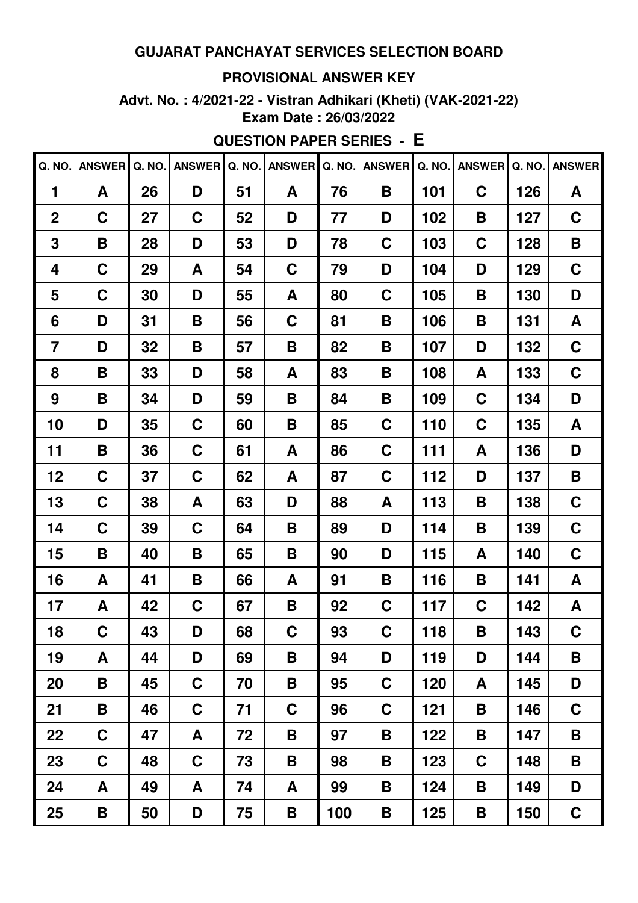#### **PROVISIONAL ANSWER KEY**

**Advt. No. : 4/2021-22 - Vistran Adhikari (Kheti) (VAK-2021-22) Exam Date : 26/03/2022**

## **QUESTION PAPER SERIES - E**

| Q. NO.         | ANSWER Q. NO. |    | <b>ANSWER</b> | Q. NO. | <b>ANSWER</b> | Q. NO. | <b>ANSWER</b> | Q. NO. | <b>ANSWER</b> | Q. NO. | <b>ANSWER</b> |
|----------------|---------------|----|---------------|--------|---------------|--------|---------------|--------|---------------|--------|---------------|
| 1              | A             | 26 | D             | 51     | A             | 76     | B             | 101    | $\mathbf C$   | 126    | A             |
| $\overline{2}$ | $\mathbf C$   | 27 | $\mathbf C$   | 52     | D             | 77     | D             | 102    | B             | 127    | $\mathbf C$   |
| 3              | B             | 28 | D             | 53     | D             | 78     | C             | 103    | C             | 128    | B             |
| 4              | $\mathbf C$   | 29 | A             | 54     | C             | 79     | D             | 104    | D             | 129    | C             |
| 5              | C             | 30 | D             | 55     | A             | 80     | C             | 105    | B             | 130    | D             |
| 6              | D             | 31 | B             | 56     | C             | 81     | Β             | 106    | B             | 131    | A             |
| $\overline{7}$ | D             | 32 | B             | 57     | B             | 82     | Β             | 107    | D             | 132    | $\mathbf C$   |
| 8              | B             | 33 | D             | 58     | A             | 83     | Β             | 108    | A             | 133    | $\mathbf C$   |
| 9              | B             | 34 | D             | 59     | B             | 84     | Β             | 109    | $\mathbf C$   | 134    | D             |
| 10             | D             | 35 | $\mathbf C$   | 60     | Β             | 85     | C             | 110    | $\mathbf C$   | 135    | A             |
| 11             | B             | 36 | $\mathbf C$   | 61     | A             | 86     | C             | 111    | A             | 136    | D             |
| 12             | C             | 37 | C             | 62     | A             | 87     | C             | 112    | D             | 137    | B             |
| 13             | $\mathbf C$   | 38 | A             | 63     | D             | 88     | A             | 113    | B             | 138    | $\mathbf C$   |
| 14             | C             | 39 | C             | 64     | B             | 89     | D             | 114    | B             | 139    | $\mathbf C$   |
| 15             | B             | 40 | B             | 65     | Β             | 90     | D             | 115    | A             | 140    | $\mathbf C$   |
| 16             | A             | 41 | B             | 66     | A             | 91     | Β             | 116    | B             | 141    | A             |
| 17             | A             | 42 | C             | 67     | B             | 92     | C             | 117    | C             | 142    | A             |
| 18             | $\mathbf C$   | 43 | D             | 68     | $\mathbf C$   | 93     | C             | 118    | B             | 143    | $\mathbf C$   |
| 19             | A             | 44 | D             | 69     | B             | 94     | D             | 119    | D             | 144    | B             |
| 20             | B             | 45 | $\mathbf C$   | 70     | B             | 95     | C             | 120    | A             | 145    | D             |
| 21             | B             | 46 | $\mathbf C$   | 71     | $\mathbf C$   | 96     | $\mathbf C$   | 121    | B             | 146    | $\mathbf C$   |
| 22             | $\mathbf C$   | 47 | A             | 72     | B             | 97     | B             | 122    | B             | 147    | B             |
| 23             | $\mathbf C$   | 48 | $\mathbf C$   | 73     | B             | 98     | Β             | 123    | $\mathbf C$   | 148    | B             |
| 24             | A             | 49 | A             | 74     | A             | 99     | Β             | 124    | B             | 149    | D             |
| 25             | B             | 50 | D             | 75     | B             | 100    | Β             | 125    | B             | 150    | $\mathbf C$   |